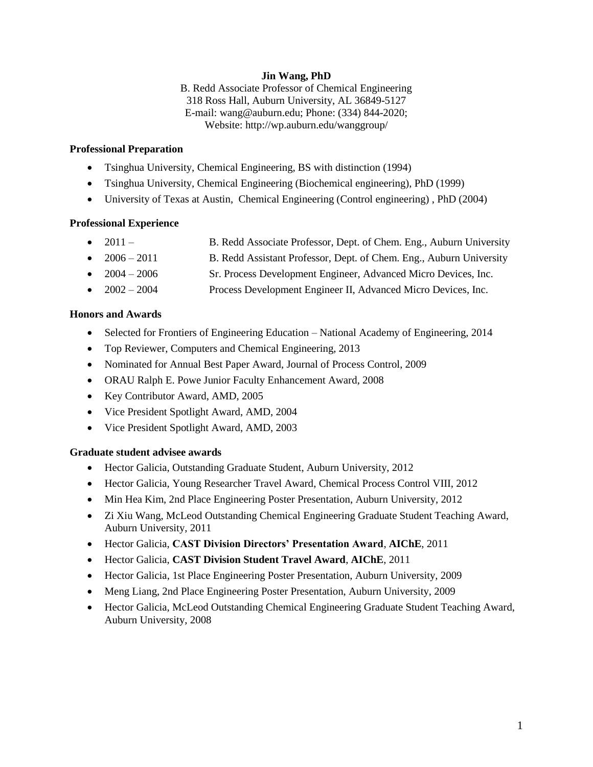# **Jin Wang, PhD**

B. Redd Associate Professor of Chemical Engineering 318 Ross Hall, Auburn University, AL 36849-5127 E-mail: wang@auburn.edu; Phone: (334) 844-2020; Website: http://wp.auburn.edu/wanggroup/

# **Professional Preparation**

- Tsinghua University, Chemical Engineering, BS with distinction (1994)
- Tsinghua University, Chemical Engineering (Biochemical engineering), PhD (1999)
- University of Texas at Austin, Chemical Engineering (Control engineering) , PhD (2004)

# **Professional Experience**

- 2011 B. Redd Associate Professor, Dept. of Chem. Eng., Auburn University
- 2006 2011 B. Redd Assistant Professor, Dept. of Chem. Eng., Auburn University
- 2004 2006 Sr. Process Development Engineer, Advanced Micro Devices, Inc.
- 2002 2004 Process Development Engineer II, Advanced Micro Devices, Inc.

# **Honors and Awards**

- Selected for Frontiers of Engineering Education National Academy of Engineering, 2014
- Top Reviewer, Computers and Chemical Engineering, 2013
- Nominated for Annual Best Paper Award, Journal of Process Control, 2009
- ORAU Ralph E. Powe Junior Faculty Enhancement Award, 2008
- Key Contributor Award, AMD, 2005
- Vice President Spotlight Award, AMD, 2004
- Vice President Spotlight Award, AMD, 2003

# **Graduate student advisee awards**

- Hector Galicia, Outstanding Graduate Student, Auburn University, 2012
- Hector Galicia, Young Researcher Travel Award, Chemical Process Control VIII, 2012
- Min Hea Kim, 2nd Place Engineering Poster Presentation, Auburn University, 2012
- Zi Xiu Wang, McLeod Outstanding Chemical Engineering Graduate Student Teaching Award, Auburn University, 2011
- Hector Galicia, **CAST Division Directors' Presentation Award**, **AIChE**, 2011
- Hector Galicia, **CAST Division Student Travel Award**, **AIChE**, 2011
- Hector Galicia, 1st Place Engineering Poster Presentation, Auburn University, 2009
- Meng Liang, 2nd Place Engineering Poster Presentation, Auburn University, 2009
- Hector Galicia, McLeod Outstanding Chemical Engineering Graduate Student Teaching Award, Auburn University, 2008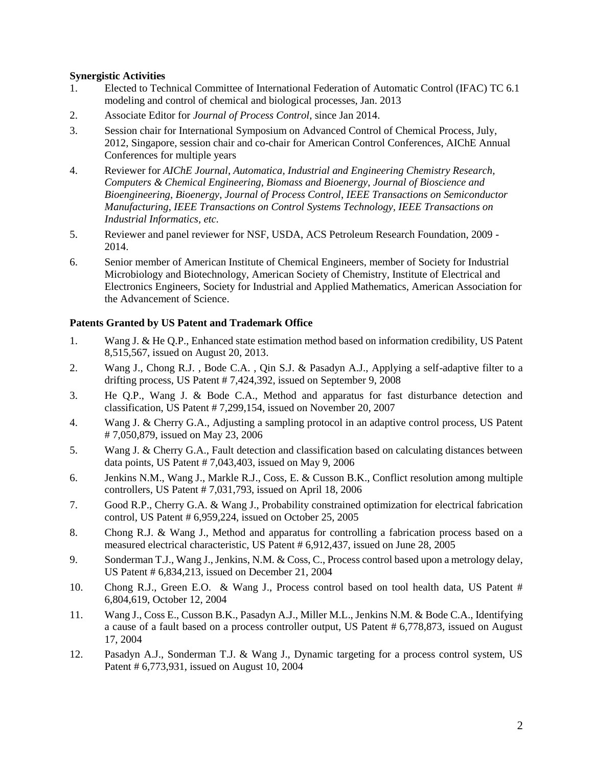# **Synergistic Activities**

- 1. Elected to Technical Committee of International Federation of Automatic Control (IFAC) TC 6.1 modeling and control of chemical and biological processes, Jan. 2013
- 2. Associate Editor for *Journal of Process Control*, since Jan 2014.
- 3. Session chair for International Symposium on Advanced Control of Chemical Process, July, 2012, Singapore, session chair and co-chair for American Control Conferences, AIChE Annual Conferences for multiple years
- 4. Reviewer for *AIChE Journal*, *Automatica, Industrial and Engineering Chemistry Research, Computers & Chemical Engineering, Biomass and Bioenergy*, *Journal of Bioscience and Bioengineering*, *Bioenergy*, *Journal of Process Control*, *IEEE Transactions on Semiconductor Manufacturing*, *IEEE Transactions on Control Systems Technology, IEEE Transactions on Industrial Informatics, etc.*
- 5. Reviewer and panel reviewer for NSF, USDA, ACS Petroleum Research Foundation, 2009 2014.
- 6. Senior member of American Institute of Chemical Engineers, member of Society for Industrial Microbiology and Biotechnology, American Society of Chemistry, Institute of Electrical and Electronics Engineers, Society for Industrial and Applied Mathematics, American Association for the Advancement of Science.

# **Patents Granted by US Patent and Trademark Office**

- 1. Wang J. & He Q.P., Enhanced state estimation method based on information credibility, US Patent 8,515,567, issued on August 20, 2013.
- 2. Wang J., Chong R.J. , Bode C.A. , Qin S.J. & Pasadyn A.J., Applying a self-adaptive filter to a drifting process, US Patent # 7,424,392, issued on September 9, 2008
- 3. He Q.P., Wang J. & Bode C.A., Method and apparatus for fast disturbance detection and classification, US Patent # 7,299,154, issued on November 20, 2007
- 4. Wang J. & Cherry G.A., Adjusting a sampling protocol in an adaptive control process, US Patent # 7,050,879, issued on May 23, 2006
- 5. Wang J. & Cherry G.A., Fault detection and classification based on calculating distances between data points, US Patent # 7,043,403, issued on May 9, 2006
- 6. Jenkins N.M., Wang J., Markle R.J., Coss, E. & Cusson B.K., Conflict resolution among multiple controllers, US Patent # 7,031,793, issued on April 18, 2006
- 7. Good R.P., Cherry G.A. & Wang J., Probability constrained optimization for electrical fabrication control, US Patent # 6,959,224, issued on October 25, 2005
- 8. Chong R.J. & Wang J., Method and apparatus for controlling a fabrication process based on a measured electrical characteristic, US Patent # 6,912,437, issued on June 28, 2005
- 9. Sonderman T.J., Wang J., Jenkins, N.M. & Coss, C., Process control based upon a metrology delay, US Patent # 6,834,213, issued on December 21, 2004
- 10. Chong R.J., Green E.O. & Wang J., Process control based on tool health data, US Patent # 6,804,619, October 12, 2004
- 11. Wang J., Coss E., Cusson B.K., Pasadyn A.J., Miller M.L., Jenkins N.M. & Bode C.A., Identifying a cause of a fault based on a process controller output, US Patent # 6,778,873, issued on August 17, 2004
- 12. Pasadyn A.J., Sonderman T.J. & Wang J., Dynamic targeting for a process control system, US Patent # 6,773,931, issued on August 10, 2004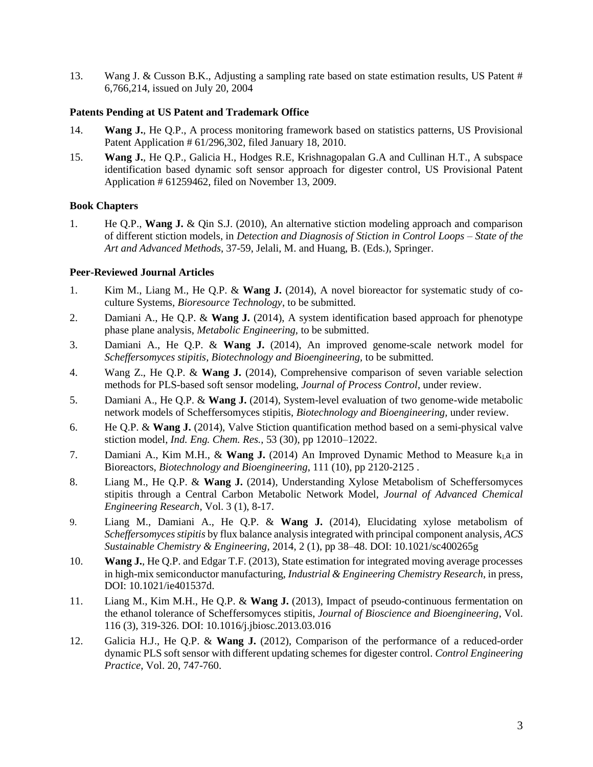13. Wang J. & Cusson B.K., Adjusting a sampling rate based on state estimation results, US Patent # 6,766,214, issued on July 20, 2004

# **Patents Pending at US Patent and Trademark Office**

- 14. **Wang J.**, He Q.P., A process monitoring framework based on statistics patterns, US Provisional Patent Application # 61/296,302, filed January 18, 2010.
- 15. **Wang J.**, He Q.P., Galicia H., Hodges R.E, Krishnagopalan G.A and Cullinan H.T., A subspace identification based dynamic soft sensor approach for digester control, US Provisional Patent Application # 61259462, filed on November 13, 2009.

# **Book Chapters**

1. He Q.P., **Wang J.** & Qin S.J. (2010), An alternative stiction modeling approach and comparison of different stiction models, in *Detection and Diagnosis of Stiction in Control Loops – State of the Art and Advanced Methods*, 37-59, Jelali, M. and Huang, B. (Eds.), Springer.

# **Peer-Reviewed Journal Articles**

- 1. Kim M., Liang M., He Q.P. & **Wang J.** (2014), A novel bioreactor for systematic study of coculture Systems, *Bioresource Technology*, to be submitted.
- 2. Damiani A., He Q.P. & **Wang J.** (2014), A system identification based approach for phenotype phase plane analysis, *Metabolic Engineering,* to be submitted.
- 3. Damiani A., He Q.P. & **Wang J.** (2014), An improved genome-scale network model for *Scheffersomyces stipitis*, *Biotechnology and Bioengineering,* to be submitted.
- 4. Wang Z., He Q.P. & **Wang J.** (2014), Comprehensive comparison of seven variable selection methods for PLS-based soft sensor modeling, *Journal of Process Control*, under review.
- 5. Damiani A., He Q.P. & **Wang J.** (2014), System-level evaluation of two genome-wide metabolic network models of Scheffersomyces stipitis, *Biotechnology and Bioengineering,* under review.
- 6. He Q.P. & **Wang J.** (2014), Valve Stiction quantification method based on a semi-physical valve stiction model, *Ind. Eng. Chem. Res.,* 53 (30), pp 12010–12022.
- 7. Damiani A., Kim M.H., & **Wang J.** (2014) An Improved Dynamic Method to Measure  $k_1$ a in Bioreactors, *Biotechnology and Bioengineering*, 111 (10), pp 2120-2125 .
- 8. Liang M., He Q.P. & **Wang J.** (2014), Understanding Xylose Metabolism of Scheffersomyces stipitis through a Central Carbon Metabolic Network Model, *Journal of Advanced Chemical Engineering Research*, Vol. 3 (1), 8-17.
- 9. Liang M., Damiani A., He Q.P. & **Wang J.** (2014), Elucidating xylose metabolism of *Scheffersomyces stipitis* by flux balance analysis integrated with principal component analysis, *ACS Sustainable Chemistry & Engineering*, 2014, 2 (1), pp 38–48. DOI: 10.1021/sc400265g
- 10. **Wang J.**, He Q.P. and Edgar T.F. (2013), State estimation for integrated moving average processes in high-mix semiconductor manufacturing, *Industrial & Engineering Chemistry Research*, in press, DOI: 10.1021/ie401537d.
- 11. Liang M., Kim M.H., He Q.P. & **Wang J.** (2013), Impact of pseudo-continuous fermentation on the ethanol tolerance of Scheffersomyces stipitis, *Journal of Bioscience and Bioengineering*, Vol. 116 (3), 319-326. DOI: 10.1016/j.jbiosc.2013.03.016
- 12. Galicia H.J., He Q.P. & **Wang J.** (2012), Comparison of the performance of a reduced-order dynamic PLS soft sensor with different updating schemes for digester control. *Control Engineering Practice*, Vol. 20, 747-760.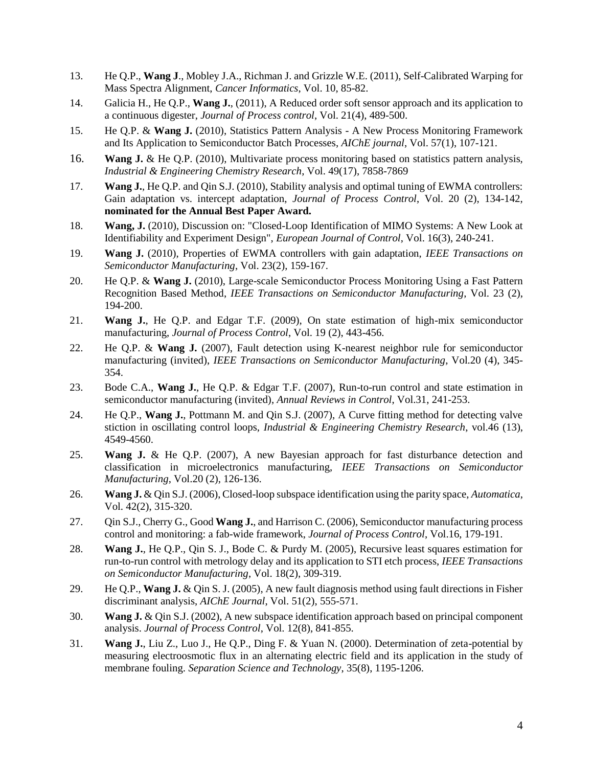- 13. He Q.P., **Wang J**., Mobley J.A., Richman J. and Grizzle W.E. (2011), Self-Calibrated Warping for Mass Spectra Alignment, *Cancer Informatics*, Vol. 10, 85-82.
- 14. Galicia H., He Q.P., **Wang J.**, (2011), A Reduced order soft sensor approach and its application to a continuous digester, *Journal of Process control*, Vol. 21(4), 489-500.
- 15. He Q.P. & **Wang J.** (2010), Statistics Pattern Analysis A New Process Monitoring Framework and Its Application to Semiconductor Batch Processes, *AIChE journal*, Vol. 57(1), 107-121.
- 16. **Wang J.** & He Q.P. (2010), Multivariate process monitoring based on statistics pattern analysis, *Industrial & Engineering Chemistry Research*, Vol. 49(17), 7858-7869
- 17. **Wang J.**, He Q.P. and Qin S.J. (2010), Stability analysis and optimal tuning of EWMA controllers: Gain adaptation vs. intercept adaptation, *Journal of Process Control*, Vol. 20 (2), 134-142, **nominated for the Annual Best Paper Award.**
- 18. **Wang, J.** (2010), Discussion on: "Closed-Loop Identification of MIMO Systems: A New Look at Identifiability and Experiment Design", *European Journal of Control*, Vol. 16(3), 240-241.
- 19. **Wang J.** (2010), Properties of EWMA controllers with gain adaptation, *IEEE Transactions on Semiconductor Manufacturing*, Vol. 23(2), 159-167.
- 20. He Q.P. & **Wang J.** (2010), Large-scale Semiconductor Process Monitoring Using a Fast Pattern Recognition Based Method, *IEEE Transactions on Semiconductor Manufacturing*, Vol. 23 (2), 194-200.
- 21. **Wang J.**, He Q.P. and Edgar T.F. (2009), On state estimation of high-mix semiconductor manufacturing, *Journal of Process Control*, Vol. 19 (2), 443-456.
- 22. He Q.P. & **Wang J.** (2007), Fault detection using K-nearest neighbor rule for semiconductor manufacturing (invited), *IEEE Transactions on Semiconductor Manufacturing*, Vol.20 (4), 345- 354.
- 23. Bode C.A., **Wang J.**, He Q.P. & Edgar T.F. (2007), Run-to-run control and state estimation in semiconductor manufacturing (invited), *Annual Reviews in Control*, Vol.31, 241-253.
- 24. He Q.P., **Wang J.**, Pottmann M. and Qin S.J. (2007), A Curve fitting method for detecting valve stiction in oscillating control loops, *Industrial & Engineering Chemistry Research*, vol.46 (13), 4549-4560.
- 25. **Wang J.** & He Q.P. (2007), A new Bayesian approach for fast disturbance detection and classification in microelectronics manufacturing, *IEEE Transactions on Semiconductor Manufacturing*, Vol.20 (2), 126-136.
- 26. **Wang J.** & Qin S.J. (2006), Closed-loop subspace identification using the parity space, *Automatica*, Vol. 42(2), 315-320.
- 27. Qin S.J., Cherry G., Good **Wang J.**, and Harrison C. (2006), Semiconductor manufacturing process control and monitoring: a fab-wide framework, *Journal of Process Control*, Vol.16, 179-191.
- 28. **Wang J.**, He Q.P., Qin S. J., Bode C. & Purdy M. (2005), Recursive least squares estimation for run-to-run control with metrology delay and its application to STI etch process, *IEEE Transactions on Semiconductor Manufacturing*, Vol. 18(2), 309-319.
- 29. He Q.P., **Wang J.** & Qin S. J. (2005), A new fault diagnosis method using fault directions in Fisher discriminant analysis, *AIChE Journal*, Vol. 51(2), 555-571.
- 30. **Wang J.** & Qin S.J. (2002), A new subspace identification approach based on principal component analysis. *Journal of Process Control*, Vol. 12(8), 841-855.
- 31. **Wang J.**, Liu Z., Luo J., He Q.P., Ding F. & Yuan N. (2000). Determination of zeta-potential by measuring electroosmotic flux in an alternating electric field and its application in the study of membrane fouling. *Separation Science and Technology*, 35(8), 1195-1206.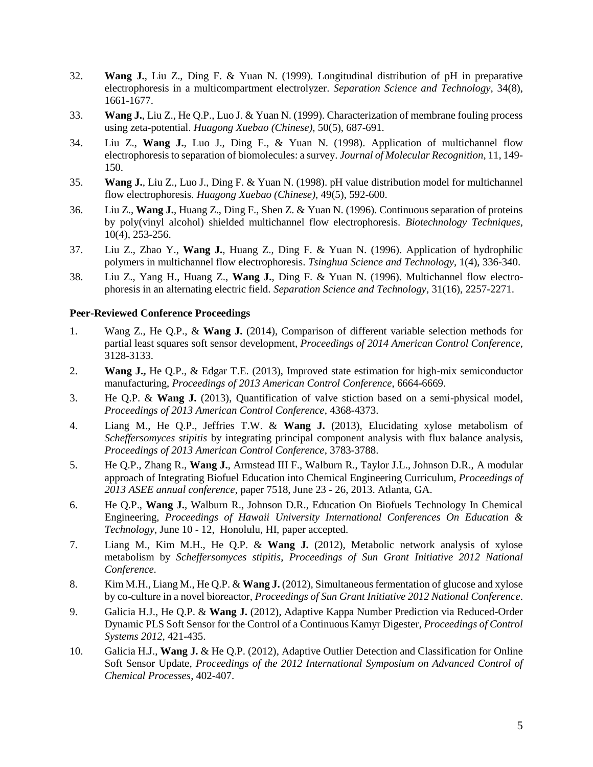- 32. **Wang J.**, Liu Z., Ding F. & Yuan N. (1999). Longitudinal distribution of pH in preparative electrophoresis in a multicompartment electrolyzer. *Separation Science and Technology*, 34(8), 1661-1677.
- 33. **Wang J.**, Liu Z., He Q.P., Luo J. & Yuan N. (1999). Characterization of membrane fouling process using zeta-potential. *Huagong Xuebao (Chinese)*, 50(5), 687-691.
- 34. Liu Z., **Wang J.**, Luo J., Ding F., & Yuan N. (1998). Application of multichannel flow electrophoresis to separation of biomolecules: a survey. *Journal of Molecular Recognition*, 11, 149- 150.
- 35. **Wang J.**, Liu Z., Luo J., Ding F. & Yuan N. (1998). pH value distribution model for multichannel flow electrophoresis. *Huagong Xuebao (Chinese)*, 49(5), 592-600.
- 36. Liu Z., **Wang J.**, Huang Z., Ding F., Shen Z. & Yuan N. (1996). Continuous separation of proteins by poly(vinyl alcohol) shielded multichannel flow electrophoresis. *Biotechnology Techniques*, 10(4), 253-256.
- 37. Liu Z., Zhao Y., **Wang J.**, Huang Z., Ding F. & Yuan N. (1996). Application of hydrophilic polymers in multichannel flow electrophoresis. *Tsinghua Science and Technology*, 1(4), 336-340.
- 38. Liu Z., Yang H., Huang Z., **Wang J.**, Ding F. & Yuan N. (1996). Multichannel flow electrophoresis in an alternating electric field. *Separation Science and Technology*, 31(16), 2257-2271.

# **Peer-Reviewed Conference Proceedings**

- 1. Wang Z., He Q.P., & **Wang J.** (2014), Comparison of different variable selection methods for partial least squares soft sensor development, *Proceedings of 2014 American Control Conference*, 3128-3133.
- 2. **Wang J.,** He Q.P., & Edgar T.E. (2013), Improved state estimation for high-mix semiconductor manufacturing, *Proceedings of 2013 American Control Conference*, 6664-6669.
- 3. He Q.P. & **Wang J.** (2013), Quantification of valve stiction based on a semi-physical model, *Proceedings of 2013 American Control Conference*, 4368-4373.
- 4. Liang M., He Q.P., Jeffries T.W. & **Wang J.** (2013), Elucidating xylose metabolism of *Scheffersomyces stipitis* by integrating principal component analysis with flux balance analysis, *Proceedings of 2013 American Control Conference*, 3783-3788.
- 5. He Q.P., Zhang R., **Wang J.**, Armstead III F., Walburn R., Taylor J.L., Johnson D.R., A modular approach of Integrating Biofuel Education into Chemical Engineering Curriculum, *Proceedings of 2013 ASEE annual conference*, paper 7518, June 23 - 26, 2013. Atlanta, GA.
- 6. He Q.P., **Wang J.**, Walburn R., Johnson D.R., Education On Biofuels Technology In Chemical Engineering, *Proceedings of Hawaii University International Conferences On Education & Technology*, June 10 - 12, Honolulu, HI, paper accepted.
- 7. Liang M., Kim M.H., He Q.P. & **Wang J.** (2012), Metabolic network analysis of xylose metabolism by *Scheffersomyces stipitis*, *Proceedings of Sun Grant Initiative 2012 National Conference*.
- 8. Kim M.H., Liang M., He Q.P. & **Wang J.** (2012), Simultaneous fermentation of glucose and xylose by co-culture in a novel bioreactor, *Proceedings of Sun Grant Initiative 2012 National Conference*.
- 9. Galicia H.J., He Q.P. & **Wang J.** (2012), Adaptive Kappa Number Prediction via Reduced-Order Dynamic PLS Soft Sensor for the Control of a Continuous Kamyr Digester, *Proceedings of Control Systems 2012*, 421-435.
- 10. Galicia H.J., **Wang J.** & He Q.P. (2012), Adaptive Outlier Detection and Classification for Online Soft Sensor Update, *Proceedings of the 2012 International Symposium on Advanced Control of Chemical Processes*, 402-407.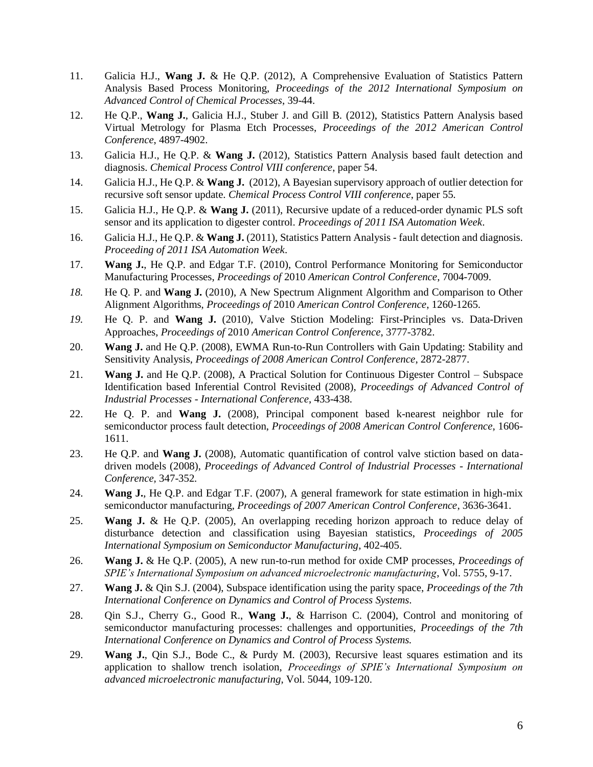- 11. Galicia H.J., **Wang J.** & He Q.P. (2012), A Comprehensive Evaluation of Statistics Pattern Analysis Based Process Monitoring, *Proceedings of the 2012 International Symposium on Advanced Control of Chemical Processes*, 39-44.
- 12. He Q.P., **Wang J.**, Galicia H.J., Stuber J. and Gill B. (2012), Statistics Pattern Analysis based Virtual Metrology for Plasma Etch Processes, *Proceedings of the 2012 American Control Conference*, 4897-4902.
- 13. Galicia H.J., He Q.P. & **Wang J.** (2012), Statistics Pattern Analysis based fault detection and diagnosis. *Chemical Process Control VIII conference*, paper 54.
- 14. Galicia H.J., He Q.P. & **Wang J.** (2012), A Bayesian supervisory approach of outlier detection for recursive soft sensor update. *Chemical Process Control VIII conference*, paper 55.
- 15. Galicia H.J., He Q.P. & **Wang J.** (2011), Recursive update of a reduced-order dynamic PLS soft sensor and its application to digester control. *Proceedings of 2011 ISA Automation Week*.
- 16. Galicia H.J., He Q.P. & **Wang J.** (2011), Statistics Pattern Analysis fault detection and diagnosis. *Proceeding of 2011 ISA Automation Week*.
- 17. **Wang J.**, He Q.P. and Edgar T.F. (2010), Control Performance Monitoring for Semiconductor Manufacturing Processes, *Proceedings of* 2010 *American Control Conference*, 7004-7009.
- *18.* He Q. P. and **Wang J.** (2010), A New Spectrum Alignment Algorithm and Comparison to Other Alignment Algorithms, *Proceedings of* 2010 *American Control Conference*, 1260-1265.
- *19.* He Q. P. and **Wang J.** (2010), Valve Stiction Modeling: First-Principles vs. Data-Driven Approaches, *Proceedings of* 2010 *American Control Conference*, 3777-3782.
- 20. **Wang J.** and He Q.P. (2008), EWMA Run-to-Run Controllers with Gain Updating: Stability and Sensitivity Analysis, *Proceedings of 2008 American Control Conference*, 2872-2877.
- 21. **Wang J.** and He Q.P. (2008), A Practical Solution for Continuous Digester Control Subspace Identification based Inferential Control Revisited (2008), *Proceedings of Advanced Control of Industrial Processes - International Conference*, 433-438.
- 22. He Q. P. and **Wang J.** (2008), Principal component based k-nearest neighbor rule for semiconductor process fault detection, *Proceedings of 2008 American Control Conference*, 1606- 1611.
- 23. He Q.P. and **Wang J.** (2008), Automatic quantification of control valve stiction based on datadriven models (2008), *Proceedings of Advanced Control of Industrial Processes - International Conference,* 347-352*.*
- 24. **Wang J.**, He Q.P. and Edgar T.F. (2007), A general framework for state estimation in high-mix semiconductor manufacturing, *Proceedings of 2007 American Control Conference*, 3636-3641.
- 25. **Wang J.** & He Q.P. (2005), An overlapping receding horizon approach to reduce delay of disturbance detection and classification using Bayesian statistics, *Proceedings of 2005 International Symposium on Semiconductor Manufacturing*, 402-405.
- 26. **Wang J.** & He Q.P. (2005), A new run-to-run method for oxide CMP processes, *Proceedings of SPIE's International Symposium on advanced microelectronic manufacturing*, Vol. 5755, 9-17.
- 27. **Wang J.** & Qin S.J. (2004), Subspace identification using the parity space, *Proceedings of the 7th International Conference on Dynamics and Control of Process Systems.*
- 28. Qin S.J., Cherry G., Good R., **Wang J.**, & Harrison C. (2004), Control and monitoring of semiconductor manufacturing processes: challenges and opportunities, *Proceedings of the 7th International Conference on Dynamics and Control of Process Systems.*
- 29. **Wang J.**, Qin S.J., Bode C., & Purdy M. (2003), Recursive least squares estimation and its application to shallow trench isolation, *Proceedings of SPIE's International Symposium on advanced microelectronic manufacturing*, Vol. 5044, 109-120.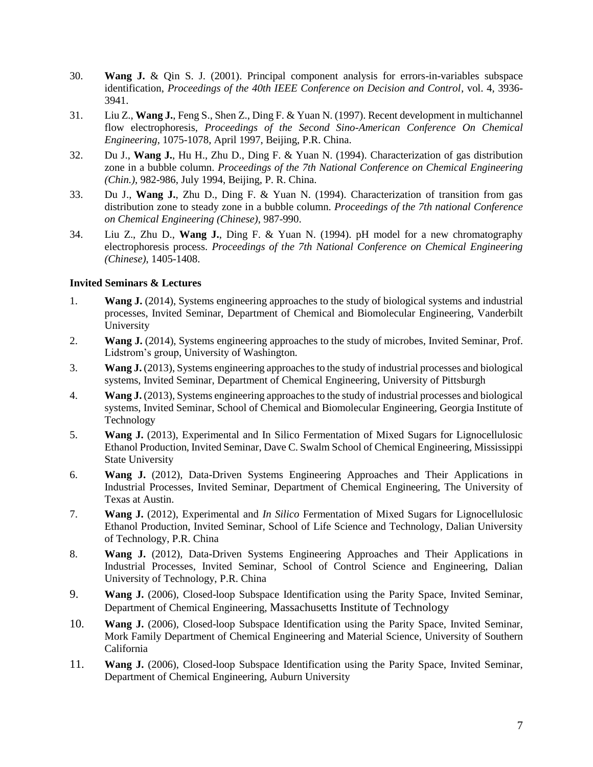- 30. **Wang J.** & Qin S. J. (2001). Principal component analysis for errors-in-variables subspace identification, *Proceedings of the 40th IEEE Conference on Decision and Control*, vol. 4, 3936- 3941.
- 31. Liu Z., **Wang J.**, Feng S., Shen Z., Ding F. & Yuan N. (1997). Recent development in multichannel flow electrophoresis, *Proceedings of the Second Sino-American Conference On Chemical Engineering*, 1075-1078, April 1997, Beijing, P.R. China.
- 32. Du J., **Wang J.**, Hu H., Zhu D., Ding F. & Yuan N. (1994). Characterization of gas distribution zone in a bubble column. *Proceedings of the 7th National Conference on Chemical Engineering (Chin.)*, 982-986, July 1994, Beijing, P. R. China.
- 33. Du J., **Wang J.**, Zhu D., Ding F. & Yuan N. (1994). Characterization of transition from gas distribution zone to steady zone in a bubble column. *Proceedings of the 7th national Conference on Chemical Engineering (Chinese)*, 987-990.
- 34. Liu Z., Zhu D., **Wang J.**, Ding F. & Yuan N. (1994). pH model for a new chromatography electrophoresis process. *Proceedings of the 7th National Conference on Chemical Engineering (Chinese)*, 1405-1408.

# **Invited Seminars & Lectures**

- 1. **Wang J.** (2014), Systems engineering approaches to the study of biological systems and industrial processes, Invited Seminar, Department of Chemical and Biomolecular Engineering, Vanderbilt University
- 2. **Wang J.** (2014), Systems engineering approaches to the study of microbes, Invited Seminar, Prof. Lidstrom's group, University of Washington.
- 3. **Wang J.** (2013), Systems engineering approaches to the study of industrial processes and biological systems, Invited Seminar, Department of Chemical Engineering, University of Pittsburgh
- 4. **Wang J.** (2013), Systems engineering approaches to the study of industrial processes and biological systems, Invited Seminar, School of Chemical and Biomolecular Engineering, Georgia Institute of Technology
- 5. **Wang J.** (2013), Experimental and In Silico Fermentation of Mixed Sugars for Lignocellulosic Ethanol Production, Invited Seminar, Dave C. Swalm School of Chemical Engineering, Mississippi State University
- 6. **Wang J.** (2012), Data-Driven Systems Engineering Approaches and Their Applications in Industrial Processes, Invited Seminar, Department of Chemical Engineering, The University of Texas at Austin.
- 7. **Wang J.** (2012), Experimental and *In Silico* Fermentation of Mixed Sugars for Lignocellulosic Ethanol Production, Invited Seminar, School of Life Science and Technology, Dalian University of Technology, P.R. China
- 8. **Wang J.** (2012), Data-Driven Systems Engineering Approaches and Their Applications in Industrial Processes, Invited Seminar, School of Control Science and Engineering, Dalian University of Technology, P.R. China
- 9. **Wang J.** (2006), Closed-loop Subspace Identification using the Parity Space, Invited Seminar, Department of Chemical Engineering, Massachusetts Institute of Technology
- 10. **Wang J.** (2006), Closed-loop Subspace Identification using the Parity Space, Invited Seminar, Mork Family Department of Chemical Engineering and Material Science, University of Southern California
- 11. **Wang J.** (2006), Closed-loop Subspace Identification using the Parity Space, Invited Seminar, Department of Chemical Engineering, Auburn University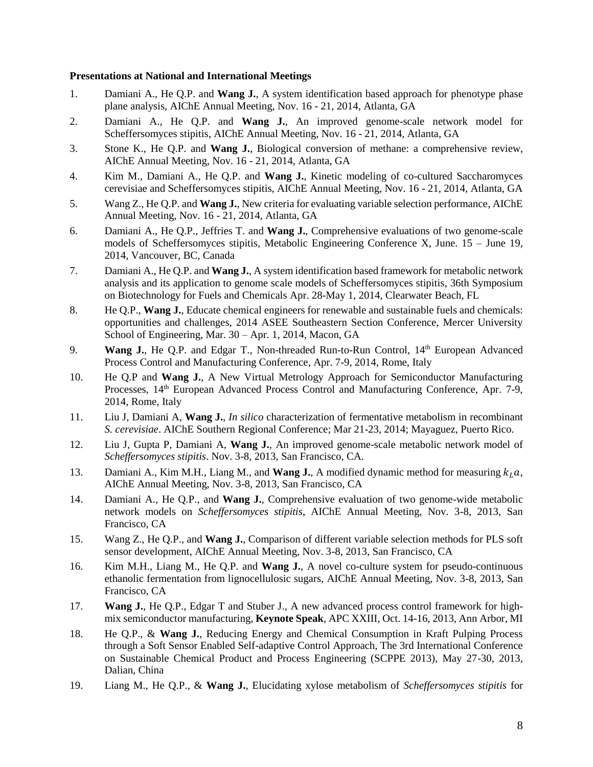#### **Presentations at National and International Meetings**

- 1. Damiani A., He Q.P. and **Wang J.**, A system identification based approach for phenotype phase plane analysis, AIChE Annual Meeting, Nov. 16 - 21, 2014, Atlanta, GA
- 2. Damiani A., He Q.P. and **Wang J.**, An improved genome-scale network model for Scheffersomyces stipitis, AIChE Annual Meeting, Nov. 16 - 21, 2014, Atlanta, GA
- 3. Stone K., He Q.P. and **Wang J.**, Biological conversion of methane: a comprehensive review, AIChE Annual Meeting, Nov. 16 - 21, 2014, Atlanta, GA
- 4. Kim M., Damiani A., He Q.P. and **Wang J.**, Kinetic modeling of co-cultured Saccharomyces cerevisiae and Scheffersomyces stipitis, AIChE Annual Meeting, Nov. 16 - 21, 2014, Atlanta, GA
- 5. Wang Z., He Q.P. and **Wang J.**, New criteria for evaluating variable selection performance, AIChE Annual Meeting, Nov. 16 - 21, 2014, Atlanta, GA
- 6. Damiani A., He Q.P., Jeffries T. and **Wang J.**, Comprehensive evaluations of two genome-scale models of Scheffersomyces stipitis, Metabolic Engineering Conference X, June. 15 – June 19, 2014, Vancouver, BC, Canada
- 7. Damiani A., He Q.P. and **Wang J.**, A system identification based framework for metabolic network analysis and its application to genome scale models of Scheffersomyces stipitis, 36th Symposium on Biotechnology for Fuels and Chemicals Apr. 28-May 1, 2014, Clearwater Beach, FL
- 8. He Q.P., **Wang J.**, Educate chemical engineers for renewable and sustainable fuels and chemicals: opportunities and challenges, 2014 ASEE Southeastern Section Conference, Mercer University School of Engineering, Mar. 30 – Apr. 1, 2014, Macon, GA
- 9. **Wang J.**, He Q.P. and Edgar T., Non-threaded Run-to-Run Control, 14<sup>th</sup> European Advanced Process Control and Manufacturing Conference, Apr. 7-9, 2014, Rome, Italy
- 10. He Q.P and **Wang J.**, A New Virtual Metrology Approach for Semiconductor Manufacturing Processes, 14<sup>th</sup> European Advanced Process Control and Manufacturing Conference, Apr. 7-9, 2014, Rome, Italy
- 11. Liu J, Damiani A, **Wang J.**, *In silico* characterization of fermentative metabolism in recombinant *S. cerevisiae*. AIChE Southern Regional Conference; Mar 21-23, 2014; Mayaguez, Puerto Rico.
- 12. Liu J, Gupta P, Damiani A, **Wang J.**, An improved genome-scale metabolic network model of *Scheffersomyces stipitis*. Nov. 3-8, 2013, San Francisco, CA.
- 13. Damiani A., Kim M.H., Liang M., and **Wang J.**, A modified dynamic method for measuring  $k<sub>l</sub> a$ , AIChE Annual Meeting, Nov. 3-8, 2013, San Francisco, CA
- 14. Damiani A., He Q.P., and **Wang J.**, Comprehensive evaluation of two genome-wide metabolic network models on *Scheffersomyces stipitis*, AIChE Annual Meeting, Nov. 3-8, 2013, San Francisco, CA
- 15. Wang Z., He Q.P., and **Wang J.**, Comparison of different variable selection methods for PLS soft sensor development, AIChE Annual Meeting, Nov. 3-8, 2013, San Francisco, CA
- 16. Kim M.H., Liang M., He Q.P. and **Wang J.**, A novel co-culture system for pseudo-continuous ethanolic fermentation from lignocellulosic sugars, AIChE Annual Meeting, Nov. 3-8, 2013, San Francisco, CA
- 17. **Wang J.**, He Q.P., Edgar T and Stuber J., A new advanced process control framework for highmix semiconductor manufacturing, **Keynote Speak**, APC XXIII, Oct. 14-16, 2013, Ann Arbor, MI
- 18. He Q.P., & **Wang J.**, Reducing Energy and Chemical Consumption in Kraft Pulping Process through a Soft Sensor Enabled Self-adaptive Control Approach, The 3rd International Conference on Sustainable Chemical Product and Process Engineering (SCPPE 2013), May 27-30, 2013, Dalian, China
- 19. Liang M., He Q.P., & **Wang J.**, Elucidating xylose metabolism of *Scheffersomyces stipitis* for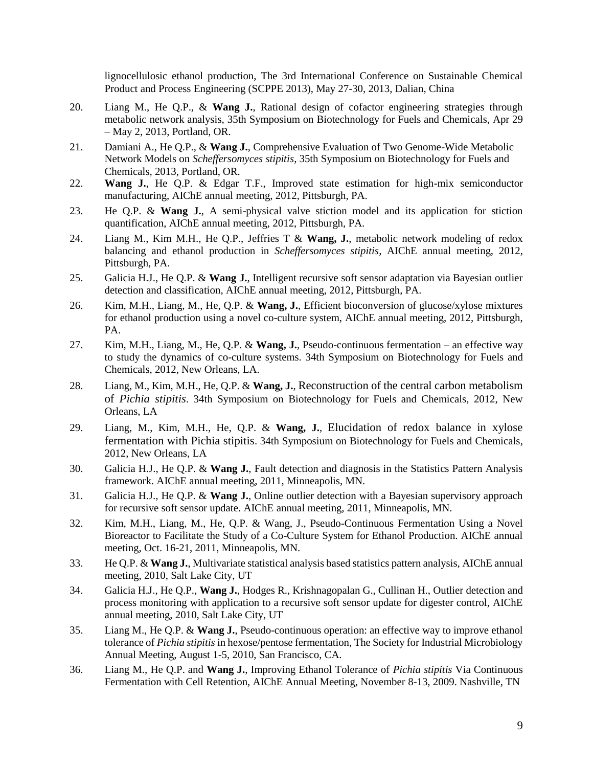lignocellulosic ethanol production, The 3rd International Conference on Sustainable Chemical Product and Process Engineering (SCPPE 2013), May 27-30, 2013, Dalian, China

- 20. Liang M., He Q.P., & **Wang J.**, Rational design of cofactor engineering strategies through metabolic network analysis, 35th Symposium on Biotechnology for Fuels and Chemicals, Apr 29 – May 2, 2013, Portland, OR.
- 21. Damiani A., He Q.P., & **Wang J.**, Comprehensive Evaluation of Two Genome-Wide Metabolic Network Models on *Scheffersomyces stipitis*, 35th Symposium on Biotechnology for Fuels and Chemicals, 2013, Portland, OR.
- 22. **Wang J.**, He Q.P. & Edgar T.F., Improved state estimation for high-mix semiconductor manufacturing, AIChE annual meeting, 2012, Pittsburgh, PA.
- 23. He Q.P. & **Wang J.**, A semi-physical valve stiction model and its application for stiction quantification, AIChE annual meeting, 2012, Pittsburgh, PA.
- 24. Liang M., Kim M.H., He Q.P., Jeffries T & **Wang, J.**, metabolic network modeling of redox balancing and ethanol production in *Scheffersomyces stipitis*, AIChE annual meeting, 2012, Pittsburgh, PA.
- 25. Galicia H.J., He Q.P. & **Wang J.**, Intelligent recursive soft sensor adaptation via Bayesian outlier detection and classification, AIChE annual meeting, 2012, Pittsburgh, PA.
- 26. Kim, M.H., Liang, M., He, Q.P. & **Wang, J.**, Efficient bioconversion of glucose/xylose mixtures for ethanol production using a novel co-culture system, AIChE annual meeting, 2012, Pittsburgh, PA.
- 27. Kim, M.H., Liang, M., He, Q.P. & **Wang, J.**, Pseudo-continuous fermentation an effective way to study the dynamics of co-culture systems. 34th Symposium on Biotechnology for Fuels and Chemicals, 2012, New Orleans, LA.
- 28. Liang, M., Kim, M.H., He, Q.P. & **Wang, J.**, Reconstruction of the central carbon metabolism of *Pichia stipitis*. 34th Symposium on Biotechnology for Fuels and Chemicals, 2012, New Orleans, LA
- 29. Liang, M., Kim, M.H., He, Q.P. & **Wang, J.**, Elucidation of redox balance in xylose fermentation with Pichia stipitis. 34th Symposium on Biotechnology for Fuels and Chemicals, 2012, New Orleans, LA
- 30. Galicia H.J., He Q.P. & **Wang J.**, Fault detection and diagnosis in the Statistics Pattern Analysis framework. AIChE annual meeting, 2011, Minneapolis, MN.
- 31. Galicia H.J., He Q.P. & **Wang J.**, Online outlier detection with a Bayesian supervisory approach for recursive soft sensor update. AIChE annual meeting, 2011, Minneapolis, MN.
- 32. Kim, M.H., Liang, M., He, Q.P. & Wang, J., Pseudo-Continuous Fermentation Using a Novel Bioreactor to Facilitate the Study of a Co-Culture System for Ethanol Production. AIChE annual meeting, Oct. 16-21, 2011, Minneapolis, MN.
- 33. He Q.P. & **Wang J.**, Multivariate statistical analysis based statistics pattern analysis, AIChE annual meeting, 2010, Salt Lake City, UT
- 34. Galicia H.J., He Q.P., **Wang J.**, Hodges R., Krishnagopalan G., Cullinan H., Outlier detection and process monitoring with application to a recursive soft sensor update for digester control, AIChE annual meeting, 2010, Salt Lake City, UT
- 35. Liang M., He Q.P. & **Wang J.**, Pseudo-continuous operation: an effective way to improve ethanol tolerance of *Pichia stipitis* in hexose/pentose fermentation, The Society for Industrial Microbiology Annual Meeting, August 1-5, 2010, San Francisco, CA.
- 36. Liang M., He Q.P. and **Wang J.**, Improving Ethanol Tolerance of *Pichia stipitis* Via Continuous Fermentation with Cell Retention, AIChE Annual Meeting, November 8-13, 2009. Nashville, TN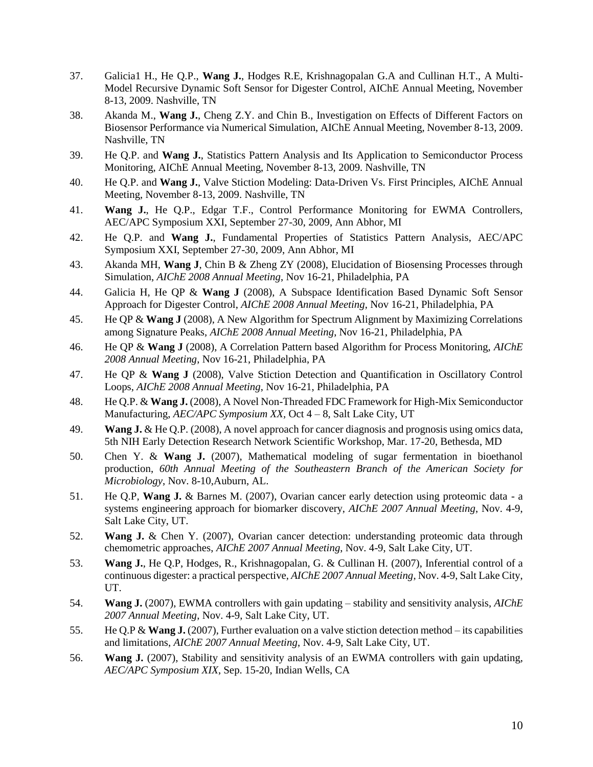- 37. Galicia1 H., He Q.P., **Wang J.**, Hodges R.E, Krishnagopalan G.A and Cullinan H.T., A Multi-Model Recursive Dynamic Soft Sensor for Digester Control, AIChE Annual Meeting, November 8-13, 2009. Nashville, TN
- 38. Akanda M., **Wang J.**, Cheng Z.Y. and Chin B., Investigation on Effects of Different Factors on Biosensor Performance via Numerical Simulation, AIChE Annual Meeting, November 8-13, 2009. Nashville, TN
- 39. He Q.P. and **Wang J.**, Statistics Pattern Analysis and Its Application to Semiconductor Process Monitoring, AIChE Annual Meeting, November 8-13, 2009. Nashville, TN
- 40. He Q.P. and **Wang J.**, Valve Stiction Modeling: Data-Driven Vs. First Principles, AIChE Annual Meeting, November 8-13, 2009. Nashville, TN
- 41. **Wang J.**, He Q.P., Edgar T.F., Control Performance Monitoring for EWMA Controllers, AEC/APC Symposium XXI, September 27-30, 2009, Ann Abhor, MI
- 42. He Q.P. and **Wang J.**, Fundamental Properties of Statistics Pattern Analysis, AEC/APC Symposium XXI, September 27-30, 2009, Ann Abhor, MI
- 43. Akanda MH, **Wang J**, Chin B & Zheng ZY (2008), Elucidation of Biosensing Processes through Simulation, *AIChE 2008 Annual Meeting*, Nov 16-21, Philadelphia, PA
- 44. Galicia H, He QP & **Wang J** (2008), A Subspace Identification Based Dynamic Soft Sensor Approach for Digester Control, *AIChE 2008 Annual Meeting*, Nov 16-21, Philadelphia, PA
- 45. He QP & **Wang J** (2008), A New Algorithm for Spectrum Alignment by Maximizing Correlations among Signature Peaks, *AIChE 2008 Annual Meeting*, Nov 16-21, Philadelphia, PA
- 46. He QP & **Wang J** (2008), A Correlation Pattern based Algorithm for Process Monitoring, *AIChE 2008 Annual Meeting*, Nov 16-21, Philadelphia, PA
- 47. He QP & **Wang J** (2008), Valve Stiction Detection and Quantification in Oscillatory Control Loops, *AIChE 2008 Annual Meeting*, Nov 16-21, Philadelphia, PA
- 48. He Q.P. & **Wang J.** (2008), A Novel Non-Threaded FDC Framework for High-Mix Semiconductor Manufacturing, *AEC/APC Symposium XX,* Oct 4 – 8, Salt Lake City, UT
- 49. **Wang J.** & He Q.P. (2008), A novel approach for cancer diagnosis and prognosis using omics data, 5th NIH Early Detection Research Network Scientific Workshop, Mar. 17-20, Bethesda, MD
- 50. Chen Y. & **Wang J.** (2007), Mathematical modeling of sugar fermentation in bioethanol production, *60th Annual Meeting of the Southeastern Branch of the American Society for Microbiology*, Nov. 8-10,Auburn, AL.
- 51. He Q.P, **Wang J.** & Barnes M. (2007), Ovarian cancer early detection using proteomic data a systems engineering approach for biomarker discovery, *AIChE 2007 Annual Meeting*, Nov. 4-9, Salt Lake City, UT.
- 52. **Wang J.** & Chen Y. (2007), Ovarian cancer detection: understanding proteomic data through chemometric approaches, *AIChE 2007 Annual Meeting*, Nov. 4-9, Salt Lake City, UT.
- 53. **Wang J.**, He Q.P, Hodges, R., Krishnagopalan, G. & Cullinan H. (2007), Inferential control of a continuous digester: a practical perspective, *AIChE 2007 Annual Meeting*, Nov. 4-9, Salt Lake City, UT.
- 54. **Wang J.** (2007), EWMA controllers with gain updating stability and sensitivity analysis, *AIChE 2007 Annual Meeting*, Nov. 4-9, Salt Lake City, UT.
- 55. He Q.P & **Wang J.** (2007), Further evaluation on a valve stiction detection method its capabilities and limitations, *AIChE 2007 Annual Meeting*, Nov. 4-9, Salt Lake City, UT.
- 56. **Wang J.** (2007), Stability and sensitivity analysis of an EWMA controllers with gain updating, *AEC/APC Symposium XIX*, Sep. 15-20, Indian Wells, CA